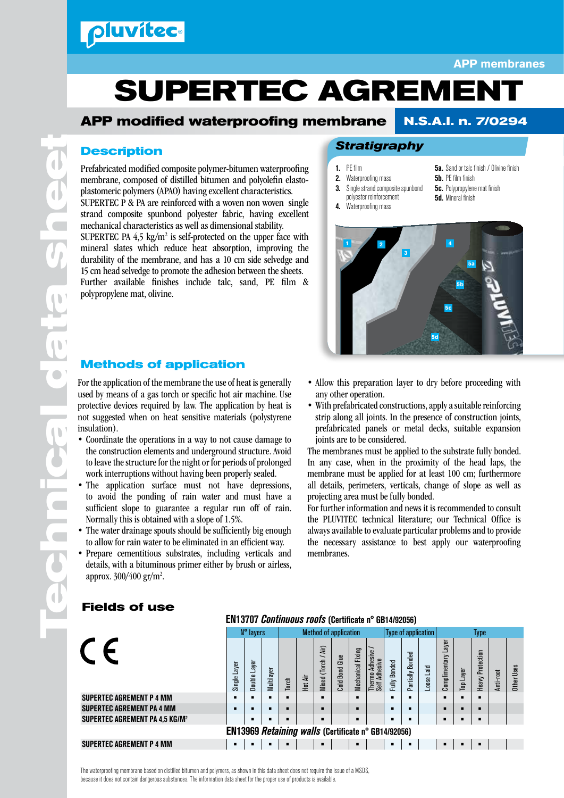### pluvitec

#### **APP membranes**

# **SUPERTEC AGREMENT**

#### **APP modified waterproofing membrane N.S.A.I. n. 7/0294**

#### **Description**

Prefabricated modified composite polymer-bitumen waterproofing membrane, composed of distilled bitumen and polyolefin elastoplastomeric polymers (APAO) having excellent characteristics. SUPERTEC  $\overline{P}$  & PA are reinforced with a woven non woven single strand composite spunbond polyester fabric, having excellent mechanical characteristics as well as dimensional stability. SUPERTEC PA  $4,5 \text{ kg/m}^2$  is self-protected on the upper face with mineral slates which reduce heat absorption, improving the durability of the membrane, and has a 10 cm side selvedge and 15 cm head selvedge to promote the adhesion between the sheets. Further available finishes include talc, sand, PE film & polypropylene mat, olivine.

#### **Methods of application**

For the application of the membrane the use of heat is generally used by means of a gas torch or specific hot air machine. Use protective devices required by law. The application by heat is not suggested when on heat sensitive materials (polystyrene insulation).

- Coordinate the operations in a way to not cause damage to the construction elements and underground structure. Avoid to leave the structure for the night or for periods of prolonged work interruptions without having been properly sealed.
- The application surface must not have depressions, to avoid the ponding of rain water and must have a sufficient slope to guarantee a regular run off of rain. Normally this is obtained with a slope of 1.5%.
- The water drainage spouts should be sufficiently big enough to allow for rain water to be eliminated in an efficient way.
- Prepare cementitious substrates, including verticals and details, with a bituminous primer either by brush or airless, approx. 300/400 gr/m<sup>2</sup>.

#### *Stratigraphy*

- 1. PE film
- 2. Waterproofing mass **3.** Single strand composite spunbond
- polyester reinforcement
- 5a. Sand or talc finish / Olivine finish 5b. PE film finish
- **5c.** Polypropylene mat finish
- 5d. Mineral finish
- 4. Waterproofing mass



- Allow this preparation layer to dry before proceeding with any other operation.
- With prefabricated constructions, apply a suitable reinforcing strip along all joints. In the presence of construction joints, prefabricated panels or metal decks, suitable expansion joints are to be considered.

The membranes must be applied to the substrate fully bonded. In any case, when in the proximity of the head laps, the membrane must be applied for at least 100 cm; furthermore all details, perimeters, verticals, change of slope as well as projecting area must be fully bonded.

For further information and news it is recommended to consult the PLUVITEC technical literature; our Technical Office is always available to evaluate particular problems and to provide the necessary assistance to best apply our waterproofing membranes.

#### **Fields of use**

|                                                     |              | N° layers      |            |       | <b>Method of application</b> |                         |                          |                      |                                           | <b>Type of application</b> |                            |                     | Type                   |              |                     |           |            |
|-----------------------------------------------------|--------------|----------------|------------|-------|------------------------------|-------------------------|--------------------------|----------------------|-------------------------------------------|----------------------------|----------------------------|---------------------|------------------------|--------------|---------------------|-----------|------------|
|                                                     | Single Layer | Laye<br>Double | Multilayer | Torch | Hot Air                      | Air)<br>(Torch<br>Mixed | Glue<br><b>Cold Bond</b> | Fixing<br>Mechanical | Adhesive<br>Thermo Adhes<br>Self Adhesive | <b>Bonded</b><br>Fully     | <b>Bonded</b><br>Partially | $\ddot{a}$<br>Loose | Layer<br>Complimentary | Layer<br>ιaη | Protection<br>Heavy | Anti-root | Other Uses |
| <b>SUPERTEC AGREMENT P 4 MM</b>                     | ٠            |                |            |       |                              |                         |                          |                      |                                           |                            |                            |                     | г                      |              |                     |           |            |
| <b>SUPERTEC AGREMENT PA 4 MM</b>                    |              |                |            |       |                              |                         |                          |                      |                                           |                            |                            |                     | г                      | п            | г                   |           |            |
| <b>SUPERTEC AGREMENT PA 4,5 KG/M<sup>2</sup></b>    |              |                |            |       |                              |                         |                          |                      |                                           |                            |                            |                     | г                      | п            | п                   |           |            |
| EN13969 Retaining walls (Certificate n° GB14/92056) |              |                |            |       |                              |                         |                          |                      |                                           |                            |                            |                     |                        |              |                     |           |            |
| <b>SUPERTEC AGREMENT P 4 MM</b>                     |              |                |            |       |                              | ▪                       |                          | п                    |                                           |                            |                            |                     | г                      | п            | п                   |           |            |

EN13707 *Continuous roofs* (Certificate n° GB14/92056)

**Technical data sheet** Œ  $\blacksquare$  $\bullet$  $\blacksquare$  $\overline{\phantom{a}}$  $\overline{\phantom{a}}$ 

 $\blacksquare$ 

The waterproofing membrane based on distilled bitumen and polymers, as shown in this data sheet does not require the issue of a MSDS, because it does not contain dangerous substances. The information data sheet for the proper use of products is available.